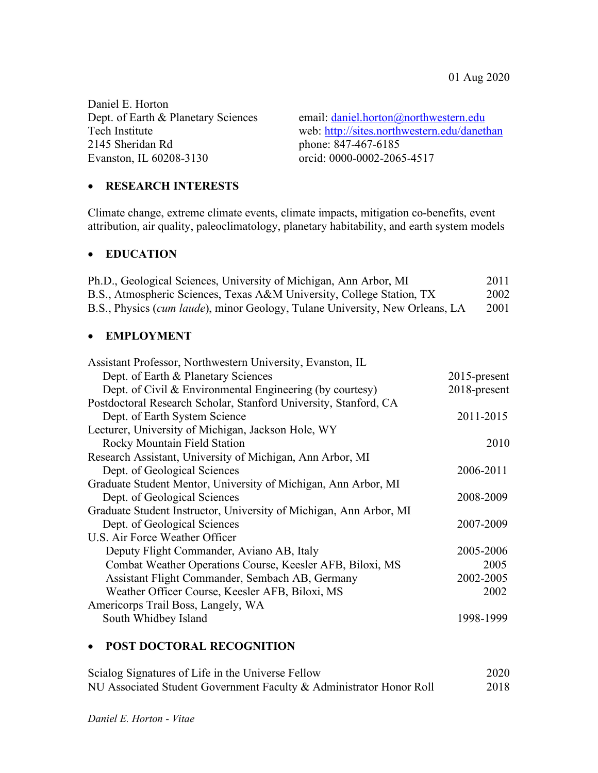Daniel E. Horton 2145 Sheridan Rd phone: 847-467-6185 Evanston, IL 60208-3130 orcid: 0000-0002-2065-4517

Dept. of Earth & Planetary Sciences email: daniel.horton@northwestern.edu Tech Institute web: http://sites.northwestern.edu/danethan

### • **RESEARCH INTERESTS**

Climate change, extreme climate events, climate impacts, mitigation co-benefits, event attribution, air quality, paleoclimatology, planetary habitability, and earth system models

#### • **EDUCATION**

| Ph.D., Geological Sciences, University of Michigan, Ann Arbor, MI                    | 2011 |
|--------------------------------------------------------------------------------------|------|
| B.S., Atmospheric Sciences, Texas A&M University, College Station, TX                | 2002 |
| B.S., Physics <i>(cum laude)</i> , minor Geology, Tulane University, New Orleans, LA | 2001 |

#### • **EMPLOYMENT**

| Assistant Professor, Northwestern University, Evanston, IL         |                 |
|--------------------------------------------------------------------|-----------------|
| Dept. of Earth & Planetary Sciences                                | $2015$ -present |
| Dept. of Civil $& Environmental Engineering (by courtesy)$         | 2018-present    |
| Postdoctoral Research Scholar, Stanford University, Stanford, CA   |                 |
| Dept. of Earth System Science                                      | 2011-2015       |
| Lecturer, University of Michigan, Jackson Hole, WY                 |                 |
| <b>Rocky Mountain Field Station</b>                                | 2010            |
| Research Assistant, University of Michigan, Ann Arbor, MI          |                 |
| Dept. of Geological Sciences                                       | 2006-2011       |
| Graduate Student Mentor, University of Michigan, Ann Arbor, MI     |                 |
| Dept. of Geological Sciences                                       | 2008-2009       |
| Graduate Student Instructor, University of Michigan, Ann Arbor, MI |                 |
| Dept. of Geological Sciences                                       | 2007-2009       |
| U.S. Air Force Weather Officer                                     |                 |
| Deputy Flight Commander, Aviano AB, Italy                          | 2005-2006       |
| Combat Weather Operations Course, Keesler AFB, Biloxi, MS          | 2005            |
| Assistant Flight Commander, Sembach AB, Germany                    | 2002-2005       |
| Weather Officer Course, Keesler AFB, Biloxi, MS                    | 2002            |
| Americorps Trail Boss, Langely, WA                                 |                 |
| South Whidbey Island                                               | 1998-1999       |
|                                                                    |                 |

# • **POST DOCTORAL RECOGNITION**

| Scialog Signatures of Life in the Universe Fellow                   | 2020 |
|---------------------------------------------------------------------|------|
| NU Associated Student Government Faculty & Administrator Honor Roll | 2018 |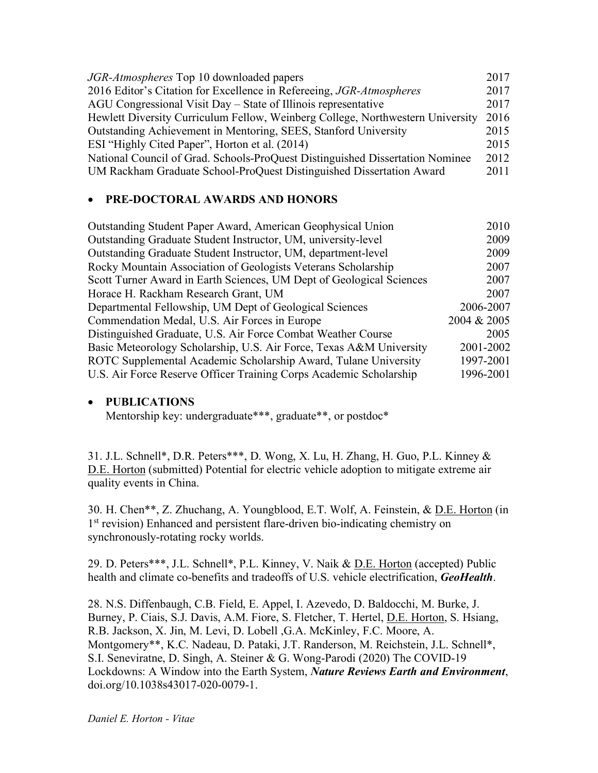| <i>JGR-Atmospheres</i> Top 10 downloaded papers                                | 2017 |
|--------------------------------------------------------------------------------|------|
| 2016 Editor's Citation for Excellence in Refereeing, JGR-Atmospheres           | 2017 |
| AGU Congressional Visit Day – State of Illinois representative                 | 2017 |
| Hewlett Diversity Curriculum Fellow, Weinberg College, Northwestern University | 2016 |
| Outstanding Achievement in Mentoring, SEES, Stanford University                | 2015 |
| ESI "Highly Cited Paper", Horton et al. (2014)                                 | 2015 |
| National Council of Grad. Schools-ProQuest Distinguished Dissertation Nominee  | 2012 |
| UM Rackham Graduate School-ProQuest Distinguished Dissertation Award           | 2011 |
|                                                                                |      |

# • **PRE-DOCTORAL AWARDS AND HONORS**

| Outstanding Student Paper Award, American Geophysical Union          | 2010        |
|----------------------------------------------------------------------|-------------|
| Outstanding Graduate Student Instructor, UM, university-level        | 2009        |
| Outstanding Graduate Student Instructor, UM, department-level        | 2009        |
| Rocky Mountain Association of Geologists Veterans Scholarship        | 2007        |
| Scott Turner Award in Earth Sciences, UM Dept of Geological Sciences | 2007        |
| Horace H. Rackham Research Grant, UM                                 | 2007        |
| Departmental Fellowship, UM Dept of Geological Sciences              | 2006-2007   |
| Commendation Medal, U.S. Air Forces in Europe                        | 2004 & 2005 |
| Distinguished Graduate, U.S. Air Force Combat Weather Course         | 2005        |
| Basic Meteorology Scholarship, U.S. Air Force, Texas A&M University  | 2001-2002   |
| ROTC Supplemental Academic Scholarship Award, Tulane University      | 1997-2001   |
| U.S. Air Force Reserve Officer Training Corps Academic Scholarship   | 1996-2001   |

# • **PUBLICATIONS**

Mentorship key: undergraduate\*\*\*, graduate\*\*, or postdoc\*

31. J.L. Schnell\*, D.R. Peters\*\*\*, D. Wong, X. Lu, H. Zhang, H. Guo, P.L. Kinney & D.E. Horton (submitted) Potential for electric vehicle adoption to mitigate extreme air quality events in China.

30. H. Chen\*\*, Z. Zhuchang, A. Youngblood, E.T. Wolf, A. Feinstein, & D.E. Horton (in 1<sup>st</sup> revision) Enhanced and persistent flare-driven bio-indicating chemistry on synchronously-rotating rocky worlds.

29. D. Peters\*\*\*, J.L. Schnell\*, P.L. Kinney, V. Naik & D.E. Horton (accepted) Public health and climate co-benefits and tradeoffs of U.S. vehicle electrification, *GeoHealth*.

28. N.S. Diffenbaugh, C.B. Field, E. Appel, I. Azevedo, D. Baldocchi, M. Burke, J. Burney, P. Ciais, S.J. Davis, A.M. Fiore, S. Fletcher, T. Hertel, D.E. Horton, S. Hsiang, R.B. Jackson, X. Jin, M. Levi, D. Lobell ,G.A. McKinley, F.C. Moore, A. Montgomery\*\*, K.C. Nadeau, D. Pataki, J.T. Randerson, M. Reichstein, J.L. Schnell\*, S.I. Seneviratne, D. Singh, A. Steiner & G. Wong-Parodi (2020) The COVID-19 Lockdowns: A Window into the Earth System, *Nature Reviews Earth and Environment*, doi.org/10.1038s43017-020-0079-1.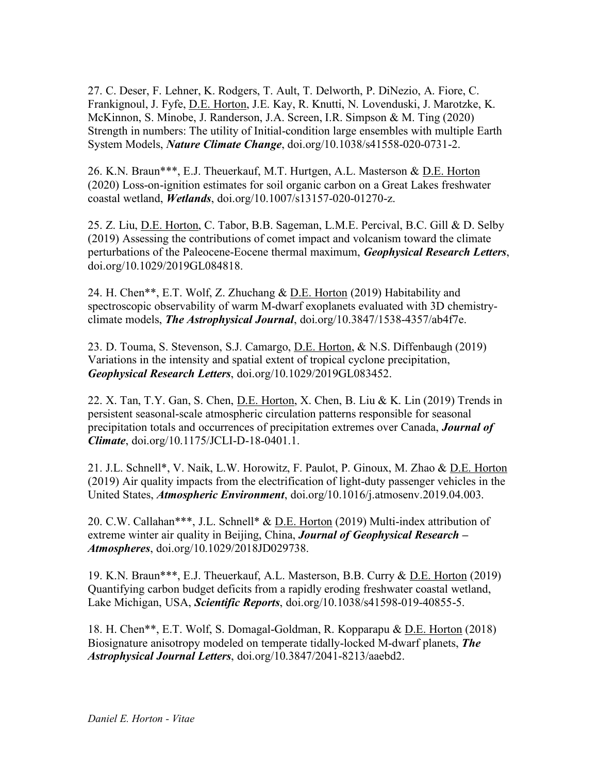27. C. Deser, F. Lehner, K. Rodgers, T. Ault, T. Delworth, P. DiNezio, A. Fiore, C. Frankignoul, J. Fyfe, D.E. Horton, J.E. Kay, R. Knutti, N. Lovenduski, J. Marotzke, K. McKinnon, S. Minobe, J. Randerson, J.A. Screen, I.R. Simpson & M. Ting (2020) Strength in numbers: The utility of Initial-condition large ensembles with multiple Earth System Models, *Nature Climate Change*, doi.org/10.1038/s41558-020-0731-2.

26. K.N. Braun\*\*\*, E.J. Theuerkauf, M.T. Hurtgen, A.L. Masterson & D.E. Horton (2020) Loss-on-ignition estimates for soil organic carbon on a Great Lakes freshwater coastal wetland, *Wetlands*, doi.org/10.1007/s13157-020-01270-z.

25. Z. Liu, <u>D.E. Horton</u>, C. Tabor, B.B. Sageman, L.M.E. Percival, B.C. Gill & D. Selby (2019) Assessing the contributions of comet impact and volcanism toward the climate perturbations of the Paleocene-Eocene thermal maximum, *Geophysical Research Letters*, doi.org/10.1029/2019GL084818.

24. H. Chen\*\*, E.T. Wolf, Z. Zhuchang & D.E. Horton (2019) Habitability and spectroscopic observability of warm M-dwarf exoplanets evaluated with 3D chemistryclimate models, *The Astrophysical Journal*, doi.org/10.3847/1538-4357/ab4f7e.

23. D. Touma, S. Stevenson, S.J. Camargo, D.E. Horton, & N.S. Diffenbaugh (2019) Variations in the intensity and spatial extent of tropical cyclone precipitation, *Geophysical Research Letters*, doi.org/10.1029/2019GL083452.

22. X. Tan, T.Y. Gan, S. Chen, D.E. Horton, X. Chen, B. Liu & K. Lin (2019) Trends in persistent seasonal-scale atmospheric circulation patterns responsible for seasonal precipitation totals and occurrences of precipitation extremes over Canada, *Journal of Climate*, doi.org/10.1175/JCLI-D-18-0401.1.

21. J.L. Schnell\*, V. Naik, L.W. Horowitz, F. Paulot, P. Ginoux, M. Zhao & D.E. Horton (2019) Air quality impacts from the electrification of light-duty passenger vehicles in the United States, *Atmospheric Environment*, doi.org/10.1016/j.atmosenv.2019.04.003.

20. C.W. Callahan\*\*\*, J.L. Schnell\* & D.E. Horton (2019) Multi-index attribution of extreme winter air quality in Beijing, China, *Journal of Geophysical Research – Atmospheres*, doi.org/10.1029/2018JD029738.

19. K.N. Braun\*\*\*, E.J. Theuerkauf, A.L. Masterson, B.B. Curry & D.E. Horton (2019) Quantifying carbon budget deficits from a rapidly eroding freshwater coastal wetland, Lake Michigan, USA, *Scientific Reports*, doi.org/10.1038/s41598-019-40855-5.

18. H. Chen\*\*, E.T. Wolf, S. Domagal-Goldman, R. Kopparapu & D.E. Horton (2018) Biosignature anisotropy modeled on temperate tidally-locked M-dwarf planets, *The Astrophysical Journal Letters*, doi.org/10.3847/2041-8213/aaebd2.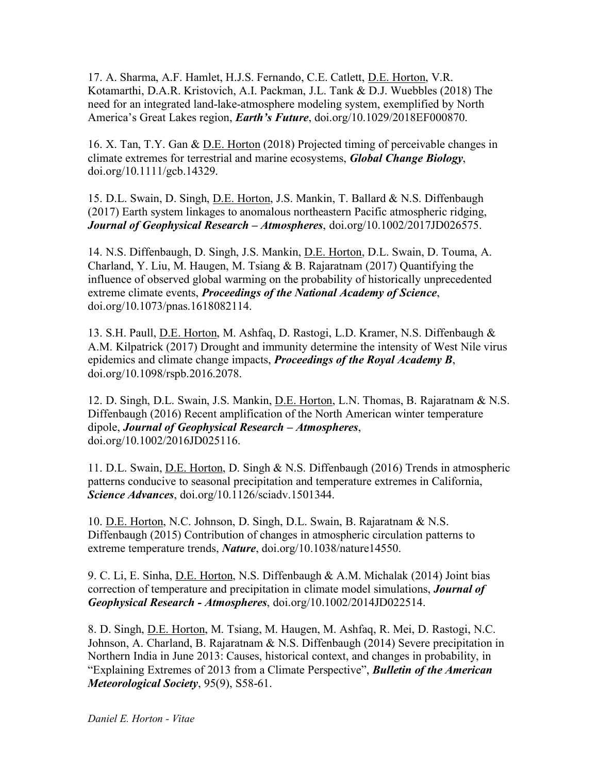17. A. Sharma, A.F. Hamlet, H.J.S. Fernando, C.E. Catlett, D.E. Horton, V.R. Kotamarthi, D.A.R. Kristovich, A.I. Packman, J.L. Tank & D.J. Wuebbles (2018) The need for an integrated land-lake-atmosphere modeling system, exemplified by North America's Great Lakes region, *Earth's Future*, doi.org/10.1029/2018EF000870.

16. X. Tan, T.Y. Gan & D.E. Horton (2018) Projected timing of perceivable changes in climate extremes for terrestrial and marine ecosystems, *Global Change Biology*, doi.org/10.1111/gcb.14329.

15. D.L. Swain, D. Singh, D.E. Horton, J.S. Mankin, T. Ballard & N.S. Diffenbaugh (2017) Earth system linkages to anomalous northeastern Pacific atmospheric ridging, *Journal of Geophysical Research – Atmospheres*, doi.org/10.1002/2017JD026575.

14. N.S. Diffenbaugh, D. Singh, J.S. Mankin, D.E. Horton, D.L. Swain, D. Touma, A. Charland, Y. Liu, M. Haugen, M. Tsiang & B. Rajaratnam (2017) Quantifying the influence of observed global warming on the probability of historically unprecedented extreme climate events, *Proceedings of the National Academy of Science*, doi.org/10.1073/pnas.1618082114.

13. S.H. Paull, D.E. Horton, M. Ashfaq, D. Rastogi, L.D. Kramer, N.S. Diffenbaugh & A.M. Kilpatrick (2017) Drought and immunity determine the intensity of West Nile virus epidemics and climate change impacts, *Proceedings of the Royal Academy B*, doi.org/10.1098/rspb.2016.2078.

12. D. Singh, D.L. Swain, J.S. Mankin, D.E. Horton, L.N. Thomas, B. Rajaratnam & N.S. Diffenbaugh (2016) Recent amplification of the North American winter temperature dipole, *Journal of Geophysical Research – Atmospheres*, doi.org/10.1002/2016JD025116.

11. D.L. Swain, D.E. Horton, D. Singh & N.S. Diffenbaugh (2016) Trends in atmospheric patterns conducive to seasonal precipitation and temperature extremes in California, *Science Advances*, doi.org/10.1126/sciadv.1501344.

10. D.E. Horton, N.C. Johnson, D. Singh, D.L. Swain, B. Rajaratnam & N.S. Diffenbaugh (2015) Contribution of changes in atmospheric circulation patterns to extreme temperature trends, *Nature*, doi.org/10.1038/nature14550.

9. C. Li, E. Sinha, D.E. Horton, N.S. Diffenbaugh & A.M. Michalak (2014) Joint bias correction of temperature and precipitation in climate model simulations, *Journal of Geophysical Research - Atmospheres*, doi.org/10.1002/2014JD022514.

8. D. Singh, D.E. Horton, M. Tsiang, M. Haugen, M. Ashfaq, R. Mei, D. Rastogi, N.C. Johnson, A. Charland, B. Rajaratnam & N.S. Diffenbaugh (2014) Severe precipitation in Northern India in June 2013: Causes, historical context, and changes in probability, in "Explaining Extremes of 2013 from a Climate Perspective", *Bulletin of the American Meteorological Society*, 95(9), S58-61.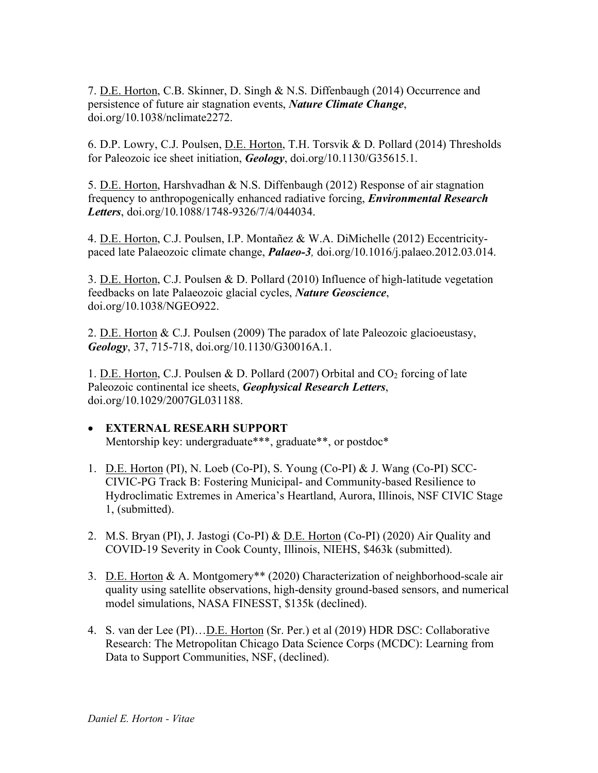7. D.E. Horton, C.B. Skinner, D. Singh & N.S. Diffenbaugh (2014) Occurrence and persistence of future air stagnation events, *Nature Climate Change*, doi.org/10.1038/nclimate2272.

6. D.P. Lowry, C.J. Poulsen, D.E. Horton, T.H. Torsvik & D. Pollard (2014) Thresholds for Paleozoic ice sheet initiation, *Geology*, doi.org/10.1130/G35615.1.

5. D.E. Horton, Harshvadhan & N.S. Diffenbaugh (2012) Response of air stagnation frequency to anthropogenically enhanced radiative forcing, *Environmental Research Letters*, doi.org/10.1088/1748-9326/7/4/044034.

4. D.E. Horton, C.J. Poulsen, I.P. Montañez & W.A. DiMichelle (2012) Eccentricitypaced late Palaeozoic climate change, *Palaeo-3,* doi.org/10.1016/j.palaeo.2012.03.014.

3. D.E. Horton, C.J. Poulsen & D. Pollard (2010) Influence of high-latitude vegetation feedbacks on late Palaeozoic glacial cycles, *Nature Geoscience*, doi.org/10.1038/NGEO922.

2. D.E. Horton & C.J. Poulsen (2009) The paradox of late Paleozoic glacioeustasy, *Geology*, 37, 715-718, doi.org/10.1130/G30016A.1.

1. D.E. Horton, C.J. Poulsen & D. Pollard (2007) Orbital and  $CO<sub>2</sub>$  forcing of late Paleozoic continental ice sheets, *Geophysical Research Letters*, doi.org/10.1029/2007GL031188.

# • **EXTERNAL RESEARH SUPPORT**

Mentorship key: undergraduate\*\*\*, graduate\*\*, or postdoc\*

- 1. D.E. Horton (PI), N. Loeb (Co-PI), S. Young (Co-PI) & J. Wang (Co-PI) SCC-CIVIC-PG Track B: Fostering Municipal- and Community-based Resilience to Hydroclimatic Extremes in America's Heartland, Aurora, Illinois, NSF CIVIC Stage 1, (submitted).
- 2. M.S. Bryan (PI), J. Jastogi (Co-PI) & <u>D.E. Horton</u> (Co-PI) (2020) Air Quality and COVID-19 Severity in Cook County, Illinois, NIEHS, \$463k (submitted).
- 3. D.E. Horton & A. Montgomery\*\* (2020) Characterization of neighborhood-scale air quality using satellite observations, high-density ground-based sensors, and numerical model simulations, NASA FINESST, \$135k (declined).
- 4. S. van der Lee (PI)…D.E. Horton (Sr. Per.) et al (2019) HDR DSC: Collaborative Research: The Metropolitan Chicago Data Science Corps (MCDC): Learning from Data to Support Communities, NSF, (declined).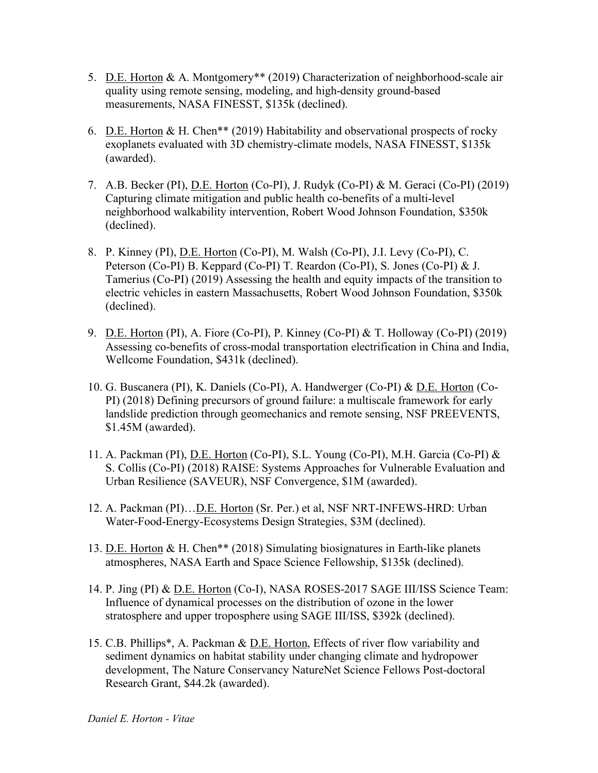- 5. D.E. Horton & A. Montgomery\*\* (2019) Characterization of neighborhood-scale air quality using remote sensing, modeling, and high-density ground-based measurements, NASA FINESST, \$135k (declined).
- 6. D.E. Horton & H. Chen\*\* (2019) Habitability and observational prospects of rocky exoplanets evaluated with 3D chemistry-climate models, NASA FINESST, \$135k (awarded).
- 7. A.B. Becker (PI), D.E. Horton (Co-PI), J. Rudyk (Co-PI) & M. Geraci (Co-PI) (2019) Capturing climate mitigation and public health co-benefits of a multi-level neighborhood walkability intervention, Robert Wood Johnson Foundation, \$350k (declined).
- 8. P. Kinney (PI), D.E. Horton (Co-PI), M. Walsh (Co-PI), J.I. Levy (Co-PI), C. Peterson (Co-PI) B. Keppard (Co-PI) T. Reardon (Co-PI), S. Jones (Co-PI) & J. Tamerius (Co-PI) (2019) Assessing the health and equity impacts of the transition to electric vehicles in eastern Massachusetts, Robert Wood Johnson Foundation, \$350k (declined).
- 9. D.E. Horton (PI), A. Fiore (Co-PI), P. Kinney (Co-PI) & T. Holloway (Co-PI) (2019) Assessing co-benefits of cross-modal transportation electrification in China and India, Wellcome Foundation, \$431k (declined).
- 10. G. Buscanera (PI), K. Daniels (Co-PI), A. Handwerger (Co-PI) & D.E. Horton (Co-PI) (2018) Defining precursors of ground failure: a multiscale framework for early landslide prediction through geomechanics and remote sensing, NSF PREEVENTS, \$1.45M (awarded).
- 11. A. Packman (PI), D.E. Horton (Co-PI), S.L. Young (Co-PI), M.H. Garcia (Co-PI) & S. Collis (Co-PI) (2018) RAISE: Systems Approaches for Vulnerable Evaluation and Urban Resilience (SAVEUR), NSF Convergence, \$1M (awarded).
- 12. A. Packman (PI)... D.E. Horton (Sr. Per.) et al, NSF NRT-INFEWS-HRD: Urban Water-Food-Energy-Ecosystems Design Strategies, \$3M (declined).
- 13. D.E. Horton & H. Chen\*\* (2018) Simulating biosignatures in Earth-like planets atmospheres, NASA Earth and Space Science Fellowship, \$135k (declined).
- 14. P. Jing (PI) & D.E. Horton (Co-I), NASA ROSES-2017 SAGE III/ISS Science Team: Influence of dynamical processes on the distribution of ozone in the lower stratosphere and upper troposphere using SAGE III/ISS, \$392k (declined).
- 15. C.B. Phillips\*, A. Packman & D.E. Horton, Effects of river flow variability and sediment dynamics on habitat stability under changing climate and hydropower development, The Nature Conservancy NatureNet Science Fellows Post-doctoral Research Grant, \$44.2k (awarded).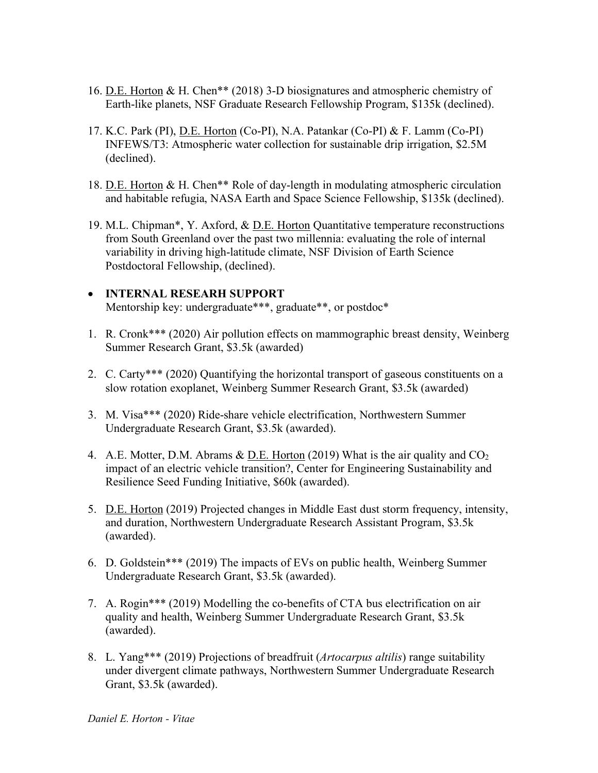- 16. D.E. Horton & H. Chen\*\* (2018) 3-D biosignatures and atmospheric chemistry of Earth-like planets, NSF Graduate Research Fellowship Program, \$135k (declined).
- 17. K.C. Park (PI), D.E. Horton (Co-PI), N.A. Patankar (Co-PI) & F. Lamm (Co-PI) INFEWS/T3: Atmospheric water collection for sustainable drip irrigation, \$2.5M (declined).
- 18. D.E. Horton & H. Chen\*\* Role of day-length in modulating atmospheric circulation and habitable refugia, NASA Earth and Space Science Fellowship, \$135k (declined).
- 19. M.L. Chipman\*, Y. Axford, & D.E. Horton Quantitative temperature reconstructions from South Greenland over the past two millennia: evaluating the role of internal variability in driving high-latitude climate, NSF Division of Earth Science Postdoctoral Fellowship, (declined).

### • **INTERNAL RESEARH SUPPORT** Mentorship key: undergraduate\*\*\*, graduate\*\*, or postdoc\*

- 1. R. Cronk\*\*\* (2020) Air pollution effects on mammographic breast density, Weinberg Summer Research Grant, \$3.5k (awarded)
- 2. C. Carty\*\*\* (2020) Quantifying the horizontal transport of gaseous constituents on a slow rotation exoplanet, Weinberg Summer Research Grant, \$3.5k (awarded)
- 3. M. Visa\*\*\* (2020) Ride-share vehicle electrification, Northwestern Summer Undergraduate Research Grant, \$3.5k (awarded).
- 4. A.E. Motter, D.M. Abrams  $\&$  D.E. Horton (2019) What is the air quality and  $CO<sub>2</sub>$ impact of an electric vehicle transition?, Center for Engineering Sustainability and Resilience Seed Funding Initiative, \$60k (awarded).
- 5. D.E. Horton (2019) Projected changes in Middle East dust storm frequency, intensity, and duration, Northwestern Undergraduate Research Assistant Program, \$3.5k (awarded).
- 6. D. Goldstein\*\*\* (2019) The impacts of EVs on public health, Weinberg Summer Undergraduate Research Grant, \$3.5k (awarded).
- 7. A. Rogin\*\*\* (2019) Modelling the co-benefits of CTA bus electrification on air quality and health, Weinberg Summer Undergraduate Research Grant, \$3.5k (awarded).
- 8. L. Yang\*\*\* (2019) Projections of breadfruit (*Artocarpus altilis*) range suitability under divergent climate pathways, Northwestern Summer Undergraduate Research Grant, \$3.5k (awarded).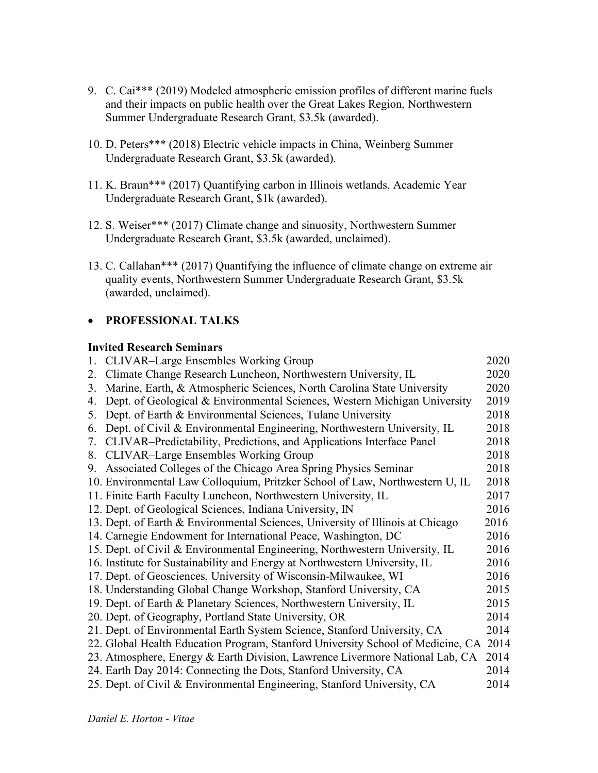- 9. C. Cai\*\*\* (2019) Modeled atmospheric emission profiles of different marine fuels and their impacts on public health over the Great Lakes Region, Northwestern Summer Undergraduate Research Grant, \$3.5k (awarded).
- 10. D. Peters\*\*\* (2018) Electric vehicle impacts in China, Weinberg Summer Undergraduate Research Grant, \$3.5k (awarded).
- 11. K. Braun\*\*\* (2017) Quantifying carbon in Illinois wetlands, Academic Year Undergraduate Research Grant, \$1k (awarded).
- 12. S. Weiser\*\*\* (2017) Climate change and sinuosity, Northwestern Summer Undergraduate Research Grant, \$3.5k (awarded, unclaimed).
- 13. C. Callahan\*\*\* (2017) Quantifying the influence of climate change on extreme air quality events, Northwestern Summer Undergraduate Research Grant, \$3.5k (awarded, unclaimed).

# • **PROFESSIONAL TALKS**

### **Invited Research Seminars**

|    | 1. CLIVAR–Large Ensembles Working Group                                         | 2020 |
|----|---------------------------------------------------------------------------------|------|
| 2. | Climate Change Research Luncheon, Northwestern University, IL                   | 2020 |
| 3. | Marine, Earth, & Atmospheric Sciences, North Carolina State University          | 2020 |
| 4. | Dept. of Geological & Environmental Sciences, Western Michigan University       | 2019 |
| 5. | Dept. of Earth & Environmental Sciences, Tulane University                      | 2018 |
| 6. | Dept. of Civil & Environmental Engineering, Northwestern University, IL         | 2018 |
| 7. | CLIVAR–Predictability, Predictions, and Applications Interface Panel            | 2018 |
| 8. | <b>CLIVAR-Large Ensembles Working Group</b>                                     | 2018 |
| 9. | Associated Colleges of the Chicago Area Spring Physics Seminar                  | 2018 |
|    | 10. Environmental Law Colloquium, Pritzker School of Law, Northwestern U, IL    | 2018 |
|    | 11. Finite Earth Faculty Luncheon, Northwestern University, IL                  | 2017 |
|    | 12. Dept. of Geological Sciences, Indiana University, IN                        | 2016 |
|    | 13. Dept. of Earth & Environmental Sciences, University of Illinois at Chicago  | 2016 |
|    | 14. Carnegie Endowment for International Peace, Washington, DC                  | 2016 |
|    | 15. Dept. of Civil & Environmental Engineering, Northwestern University, IL     | 2016 |
|    | 16. Institute for Sustainability and Energy at Northwestern University, IL      | 2016 |
|    | 17. Dept. of Geosciences, University of Wisconsin-Milwaukee, WI                 | 2016 |
|    | 18. Understanding Global Change Workshop, Stanford University, CA               | 2015 |
|    | 19. Dept. of Earth & Planetary Sciences, Northwestern University, IL            | 2015 |
|    | 20. Dept. of Geography, Portland State University, OR                           | 2014 |
|    | 21. Dept. of Environmental Earth System Science, Stanford University, CA        | 2014 |
|    | 22. Global Health Education Program, Stanford University School of Medicine, CA | 2014 |
|    | 23. Atmosphere, Energy & Earth Division, Lawrence Livermore National Lab, CA    | 2014 |
|    | 24. Earth Day 2014: Connecting the Dots, Stanford University, CA                | 2014 |
|    | 25. Dept. of Civil & Environmental Engineering, Stanford University, CA         | 2014 |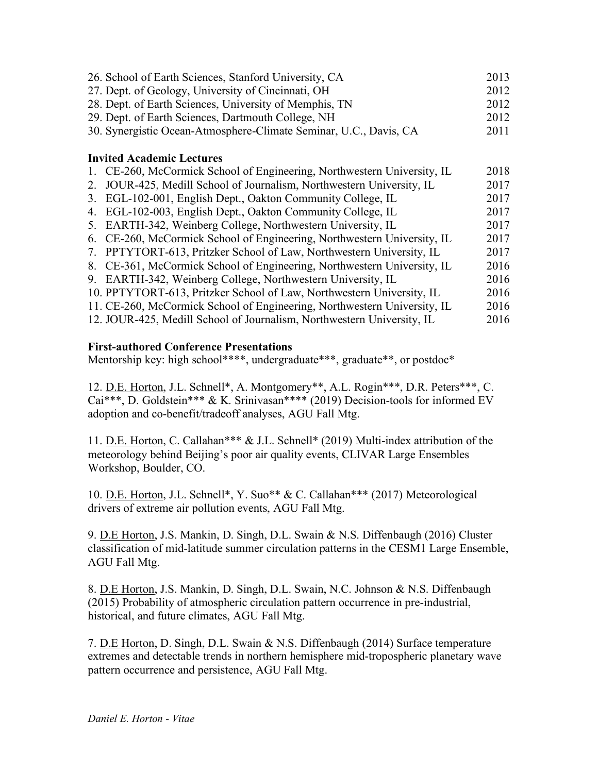| 26. School of Earth Sciences, Stanford University, CA                      | 2013 |
|----------------------------------------------------------------------------|------|
| 27. Dept. of Geology, University of Cincinnati, OH                         | 2012 |
| 28. Dept. of Earth Sciences, University of Memphis, TN                     | 2012 |
| 29. Dept. of Earth Sciences, Dartmouth College, NH                         | 2012 |
| 30. Synergistic Ocean-Atmosphere-Climate Seminar, U.C., Davis, CA          | 2011 |
| <b>Invited Academic Lectures</b>                                           |      |
| 1. CE-260, McCormick School of Engineering, Northwestern University, IL    | 2018 |
| JOUR-425, Medill School of Journalism, Northwestern University, IL<br>2.   | 2017 |
| EGL-102-001, English Dept., Oakton Community College, IL<br>3.             | 2017 |
| EGL-102-003, English Dept., Oakton Community College, IL<br>4.             | 2017 |
| EARTH-342, Weinberg College, Northwestern University, IL<br>5.             | 2017 |
| CE-260, McCormick School of Engineering, Northwestern University, IL<br>6. | 2017 |
| PPTYTORT-613, Pritzker School of Law, Northwestern University, IL<br>7.    | 2017 |
| CE-361, McCormick School of Engineering, Northwestern University, IL<br>8. | 2016 |
| EARTH-342, Weinberg College, Northwestern University, IL<br>9.             | 2016 |
| 10. PPTYTORT-613, Pritzker School of Law, Northwestern University, IL      | 2016 |
| 11. CE-260, McCormick School of Engineering, Northwestern University, IL   | 2016 |
| 12. JOUR-425, Medill School of Journalism, Northwestern University, IL     | 2016 |

### **First-authored Conference Presentations**

Mentorship key: high school\*\*\*\*, undergraduate\*\*\*, graduate\*\*, or postdoc\*

12. D.E. Horton, J.L. Schnell\*, A. Montgomery\*\*, A.L. Rogin\*\*\*, D.R. Peters\*\*\*, C. Cai\*\*\*, D. Goldstein\*\*\* & K. Srinivasan\*\*\*\* (2019) Decision-tools for informed EV adoption and co-benefit/tradeoff analyses, AGU Fall Mtg.

11. D.E. Horton, C. Callahan\*\*\* & J.L. Schnell\* (2019) Multi-index attribution of the meteorology behind Beijing's poor air quality events, CLIVAR Large Ensembles Workshop, Boulder, CO.

10. D.E. Horton, J.L. Schnell\*, Y. Suo\*\* & C. Callahan\*\*\* (2017) Meteorological drivers of extreme air pollution events, AGU Fall Mtg.

9. D.E Horton, J.S. Mankin, D. Singh, D.L. Swain & N.S. Diffenbaugh (2016) Cluster classification of mid-latitude summer circulation patterns in the CESM1 Large Ensemble, AGU Fall Mtg.

8. D.E Horton, J.S. Mankin, D. Singh, D.L. Swain, N.C. Johnson & N.S. Diffenbaugh (2015) Probability of atmospheric circulation pattern occurrence in pre-industrial, historical, and future climates, AGU Fall Mtg.

7. D.E Horton, D. Singh, D.L. Swain & N.S. Diffenbaugh (2014) Surface temperature extremes and detectable trends in northern hemisphere mid-tropospheric planetary wave pattern occurrence and persistence, AGU Fall Mtg.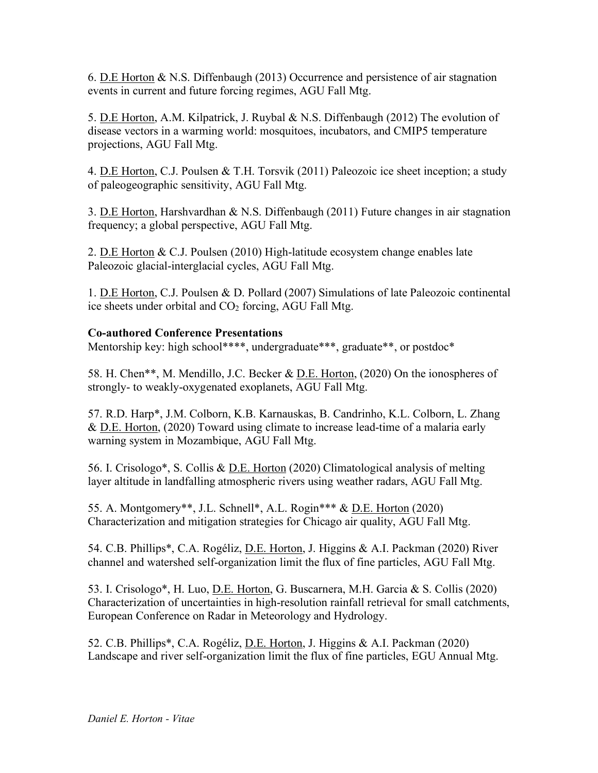6. D.E Horton & N.S. Diffenbaugh (2013) Occurrence and persistence of air stagnation events in current and future forcing regimes, AGU Fall Mtg.

5. D.E Horton, A.M. Kilpatrick, J. Ruybal & N.S. Diffenbaugh (2012) The evolution of disease vectors in a warming world: mosquitoes, incubators, and CMIP5 temperature projections, AGU Fall Mtg.

4. D.E Horton, C.J. Poulsen & T.H. Torsvik (2011) Paleozoic ice sheet inception; a study of paleogeographic sensitivity, AGU Fall Mtg.

3. D.E Horton, Harshvardhan & N.S. Diffenbaugh (2011) Future changes in air stagnation frequency; a global perspective, AGU Fall Mtg.

2. D.E Horton & C.J. Poulsen (2010) High-latitude ecosystem change enables late Paleozoic glacial-interglacial cycles, AGU Fall Mtg.

1. D.E Horton, C.J. Poulsen & D. Pollard (2007) Simulations of late Paleozoic continental ice sheets under orbital and  $CO<sub>2</sub>$  forcing, AGU Fall Mtg.

# **Co-authored Conference Presentations**

Mentorship key: high school\*\*\*\*, undergraduate\*\*\*, graduate\*\*, or postdoc\*

58. H. Chen\*\*, M. Mendillo, J.C. Becker & <u>D.E. Horton</u>, (2020) On the ionospheres of strongly- to weakly-oxygenated exoplanets, AGU Fall Mtg.

57. R.D. Harp\*, J.M. Colborn, K.B. Karnauskas, B. Candrinho, K.L. Colborn, L. Zhang & D.E. Horton, (2020) Toward using climate to increase lead-time of a malaria early warning system in Mozambique, AGU Fall Mtg.

56. I. Crisologo\*, S. Collis & D.E. Horton (2020) Climatological analysis of melting layer altitude in landfalling atmospheric rivers using weather radars, AGU Fall Mtg.

55. A. Montgomery\*\*, J.L. Schnell\*, A.L. Rogin\*\*\* & D.E. Horton (2020) Characterization and mitigation strategies for Chicago air quality, AGU Fall Mtg.

54. C.B. Phillips\*, C.A. Rogéliz, D.E. Horton, J. Higgins & A.I. Packman (2020) River channel and watershed self-organization limit the flux of fine particles, AGU Fall Mtg.

53. I. Crisologo\*, H. Luo, D.E. Horton, G. Buscarnera, M.H. Garcia & S. Collis (2020) Characterization of uncertainties in high-resolution rainfall retrieval for small catchments, European Conference on Radar in Meteorology and Hydrology.

52. C.B. Phillips\*, C.A. Rogéliz, D.E. Horton, J. Higgins & A.I. Packman (2020) Landscape and river self-organization limit the flux of fine particles, EGU Annual Mtg.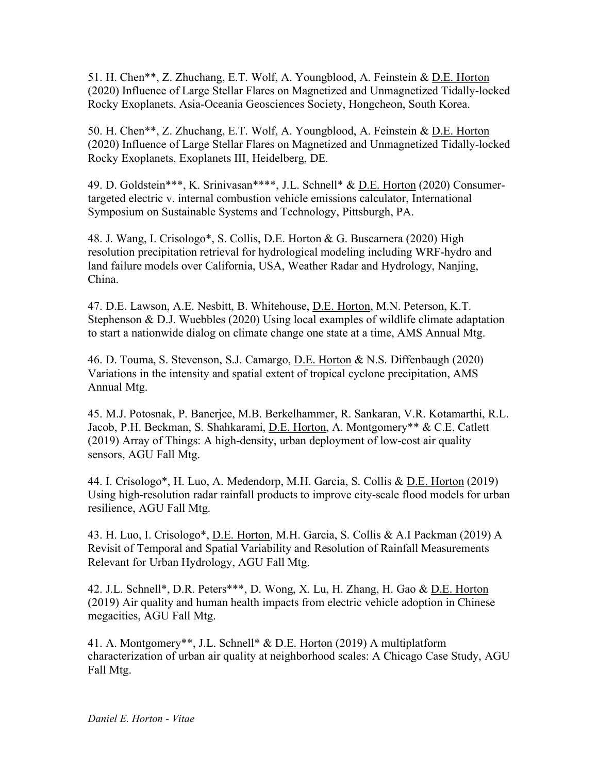51. H. Chen\*\*, Z. Zhuchang, E.T. Wolf, A. Youngblood, A. Feinstein & D.E. Horton (2020) Influence of Large Stellar Flares on Magnetized and Unmagnetized Tidally-locked Rocky Exoplanets, Asia-Oceania Geosciences Society, Hongcheon, South Korea.

50. H. Chen\*\*, Z. Zhuchang, E.T. Wolf, A. Youngblood, A. Feinstein & D.E. Horton (2020) Influence of Large Stellar Flares on Magnetized and Unmagnetized Tidally-locked Rocky Exoplanets, Exoplanets III, Heidelberg, DE.

49. D. Goldstein\*\*\*, K. Srinivasan\*\*\*\*, J.L. Schnell\* & D.E. Horton (2020) Consumertargeted electric v. internal combustion vehicle emissions calculator, International Symposium on Sustainable Systems and Technology, Pittsburgh, PA.

48. J. Wang, I. Crisologo\*, S. Collis, D.E. Horton & G. Buscarnera (2020) High resolution precipitation retrieval for hydrological modeling including WRF-hydro and land failure models over California, USA, Weather Radar and Hydrology, Nanjing, China.

47. D.E. Lawson, A.E. Nesbitt, B. Whitehouse, D.E. Horton, M.N. Peterson, K.T. Stephenson & D.J. Wuebbles (2020) Using local examples of wildlife climate adaptation to start a nationwide dialog on climate change one state at a time, AMS Annual Mtg.

46. D. Touma, S. Stevenson, S.J. Camargo, D.E. Horton & N.S. Diffenbaugh (2020) Variations in the intensity and spatial extent of tropical cyclone precipitation, AMS Annual Mtg.

45. M.J. Potosnak, P. Banerjee, M.B. Berkelhammer, R. Sankaran, V.R. Kotamarthi, R.L. Jacob, P.H. Beckman, S. Shahkarami, D.E. Horton, A. Montgomery\*\* & C.E. Catlett (2019) Array of Things: A high-density, urban deployment of low-cost air quality sensors, AGU Fall Mtg.

44. I. Crisologo\*, H. Luo, A. Medendorp, M.H. Garcia, S. Collis & D.E. Horton (2019) Using high-resolution radar rainfall products to improve city-scale flood models for urban resilience, AGU Fall Mtg.

43. H. Luo, I. Crisologo\*, D.E. Horton, M.H. Garcia, S. Collis & A.I Packman (2019) A Revisit of Temporal and Spatial Variability and Resolution of Rainfall Measurements Relevant for Urban Hydrology, AGU Fall Mtg.

42. J.L. Schnell\*, D.R. Peters\*\*\*, D. Wong, X. Lu, H. Zhang, H. Gao & D.E. Horton (2019) Air quality and human health impacts from electric vehicle adoption in Chinese megacities, AGU Fall Mtg.

41. A. Montgomery\*\*, J.L. Schnell\* & D.E. Horton (2019) A multiplatform characterization of urban air quality at neighborhood scales: A Chicago Case Study, AGU Fall Mtg.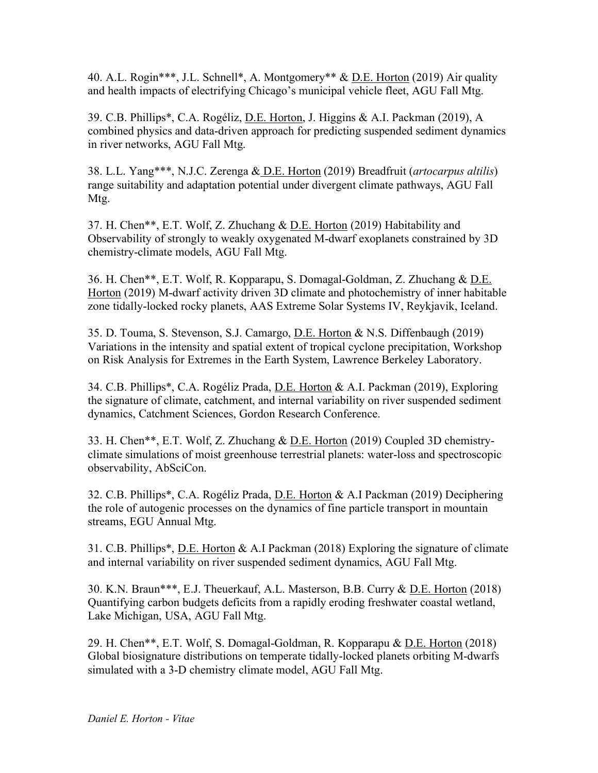40. A.L. Rogin\*\*\*, J.L. Schnell\*, A. Montgomery\*\* & D.E. Horton (2019) Air quality and health impacts of electrifying Chicago's municipal vehicle fleet, AGU Fall Mtg.

39. C.B. Phillips\*, C.A. Rogéliz, D.E. Horton, J. Higgins & A.I. Packman (2019), A combined physics and data-driven approach for predicting suspended sediment dynamics in river networks, AGU Fall Mtg.

38. L.L. Yang\*\*\*, N.J.C. Zerenga & D.E. Horton (2019) Breadfruit (*artocarpus altilis*) range suitability and adaptation potential under divergent climate pathways, AGU Fall Mtg.

37. H. Chen\*\*, E.T. Wolf, Z. Zhuchang & D.E. Horton (2019) Habitability and Observability of strongly to weakly oxygenated M-dwarf exoplanets constrained by 3D chemistry-climate models, AGU Fall Mtg.

36. H. Chen\*\*, E.T. Wolf, R. Kopparapu, S. Domagal-Goldman, Z. Zhuchang & D.E. Horton (2019) M-dwarf activity driven 3D climate and photochemistry of inner habitable zone tidally-locked rocky planets, AAS Extreme Solar Systems IV, Reykjavik, Iceland.

35. D. Touma, S. Stevenson, S.J. Camargo, D.E. Horton & N.S. Diffenbaugh (2019) Variations in the intensity and spatial extent of tropical cyclone precipitation, Workshop on Risk Analysis for Extremes in the Earth System, Lawrence Berkeley Laboratory.

34. C.B. Phillips\*, C.A. Rogéliz Prada, D.E. Horton & A.I. Packman (2019), Exploring the signature of climate, catchment, and internal variability on river suspended sediment dynamics, Catchment Sciences, Gordon Research Conference.

33. H. Chen\*\*, E.T. Wolf, Z. Zhuchang & D.E. Horton (2019) Coupled 3D chemistryclimate simulations of moist greenhouse terrestrial planets: water-loss and spectroscopic observability, AbSciCon.

32. C.B. Phillips\*, C.A. Rogéliz Prada, D.E. Horton & A.I Packman (2019) Deciphering the role of autogenic processes on the dynamics of fine particle transport in mountain streams, EGU Annual Mtg.

31. C.B. Phillips\*, D.E. Horton & A.I Packman (2018) Exploring the signature of climate and internal variability on river suspended sediment dynamics, AGU Fall Mtg.

30. K.N. Braun\*\*\*, E.J. Theuerkauf, A.L. Masterson, B.B. Curry & D.E. Horton (2018) Quantifying carbon budgets deficits from a rapidly eroding freshwater coastal wetland, Lake Michigan, USA, AGU Fall Mtg.

29. H. Chen\*\*, E.T. Wolf, S. Domagal-Goldman, R. Kopparapu & D.E. Horton (2018) Global biosignature distributions on temperate tidally-locked planets orbiting M-dwarfs simulated with a 3-D chemistry climate model, AGU Fall Mtg.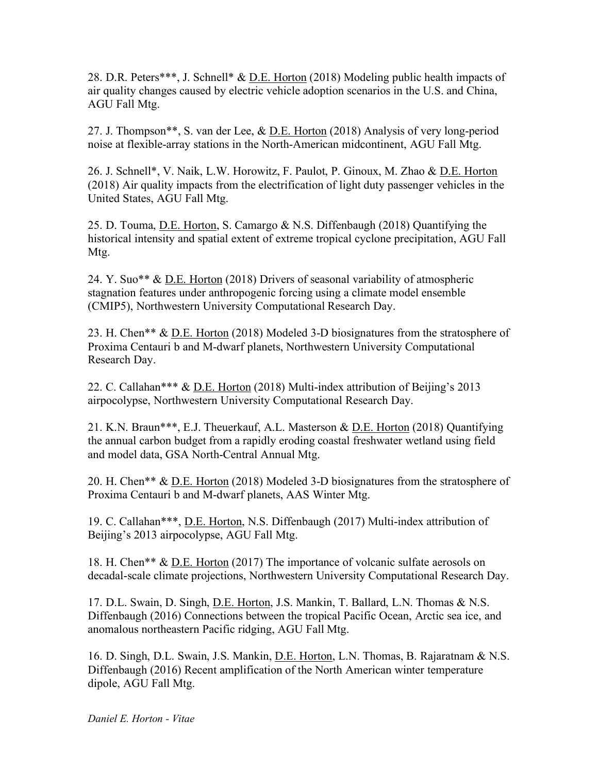28. D.R. Peters\*\*\*, J. Schnell\* & D.E. Horton (2018) Modeling public health impacts of air quality changes caused by electric vehicle adoption scenarios in the U.S. and China, AGU Fall Mtg.

27. J. Thompson\*\*, S. van der Lee, & <u>D.E. Horton</u> (2018) Analysis of very long-period noise at flexible-array stations in the North-American midcontinent, AGU Fall Mtg.

26. J. Schnell\*, V. Naik, L.W. Horowitz, F. Paulot, P. Ginoux, M. Zhao & D.E. Horton (2018) Air quality impacts from the electrification of light duty passenger vehicles in the United States, AGU Fall Mtg.

25. D. Touma, D.E. Horton, S. Camargo & N.S. Diffenbaugh (2018) Quantifying the historical intensity and spatial extent of extreme tropical cyclone precipitation, AGU Fall Mtg.

24. Y. Suo\*\* & D.E. Horton (2018) Drivers of seasonal variability of atmospheric stagnation features under anthropogenic forcing using a climate model ensemble (CMIP5), Northwestern University Computational Research Day.

23. H. Chen\*\* & <u>D.E. Horton</u> (2018) Modeled 3-D biosignatures from the stratosphere of Proxima Centauri b and M-dwarf planets, Northwestern University Computational Research Day.

22. C. Callahan\*\*\* & D.E. Horton (2018) Multi-index attribution of Beijing's 2013 airpocolypse, Northwestern University Computational Research Day.

21. K.N. Braun\*\*\*, E.J. Theuerkauf, A.L. Masterson & D.E. Horton (2018) Quantifying the annual carbon budget from a rapidly eroding coastal freshwater wetland using field and model data, GSA North-Central Annual Mtg.

20. H. Chen\*\* & D.E. Horton (2018) Modeled 3-D biosignatures from the stratosphere of Proxima Centauri b and M-dwarf planets, AAS Winter Mtg.

19. C. Callahan\*\*\*, D.E. Horton, N.S. Diffenbaugh (2017) Multi-index attribution of Beijing's 2013 airpocolypse, AGU Fall Mtg.

18. H. Chen\*\* & <u>D.E. Horton</u> (2017) The importance of volcanic sulfate aerosols on decadal-scale climate projections, Northwestern University Computational Research Day.

17. D.L. Swain, D. Singh, D.E. Horton, J.S. Mankin, T. Ballard, L.N. Thomas & N.S. Diffenbaugh (2016) Connections between the tropical Pacific Ocean, Arctic sea ice, and anomalous northeastern Pacific ridging, AGU Fall Mtg.

16. D. Singh, D.L. Swain, J.S. Mankin, D.E. Horton, L.N. Thomas, B. Rajaratnam & N.S. Diffenbaugh (2016) Recent amplification of the North American winter temperature dipole, AGU Fall Mtg.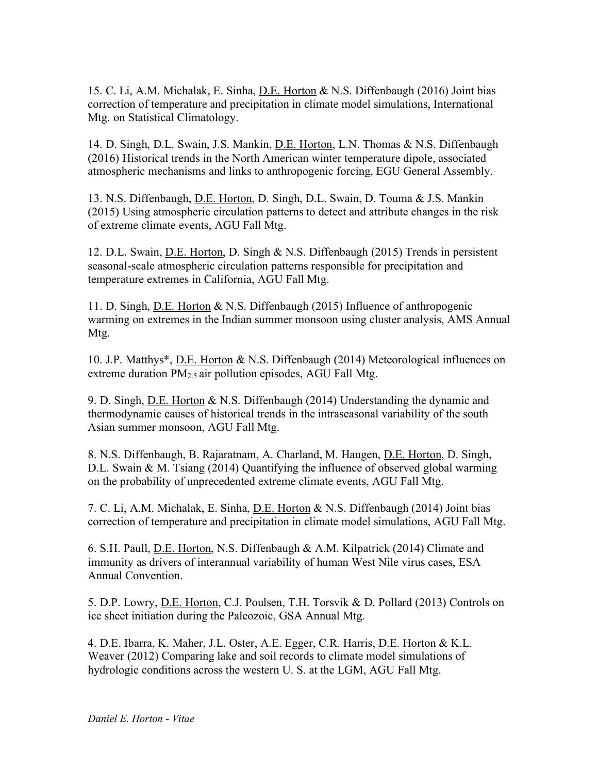15. C. Li, A.M. Michalak, E. Sinha, D.E. Horton & N.S. Diffenbaugh (2016) Joint bias correction of temperature and precipitation in climate model simulations, International Mtg. on Statistical Climatology.

14. D. Singh, D.L. Swain, J.S. Mankin, <u>D.E. Horton</u>, L.N. Thomas & N.S. Diffenbaugh (2016) Historical trends in the North American winter temperature dipole, associated atmospheric mechanisms and links to anthropogenic forcing, EGU General Assembly.

13. N.S. Diffenbaugh, D.E. Horton, D. Singh, D.L. Swain, D. Touma & J.S. Mankin (2015) Using atmospheric circulation patterns to detect and attribute changes in the risk of extreme climate events, AGU Fall Mtg.

12. D.L. Swain, D.E. Horton, D. Singh & N.S. Diffenbaugh (2015) Trends in persistent seasonal-scale atmospheric circulation patterns responsible for precipitation and temperature extremes in California, AGU Fall Mtg.

11. D. Singh, D.E. Horton & N.S. Diffenbaugh (2015) Influence of anthropogenic warming on extremes in the Indian summer monsoon using cluster analysis, AMS Annual Mtg.

10. J.P. Matthys\*, D.E. Horton & N.S. Diffenbaugh (2014) Meteorological influences on extreme duration  $PM<sub>2.5</sub>$  air pollution episodes, AGU Fall Mtg.

9. D. Singh, D.E. Horton & N.S. Diffenbaugh (2014) Understanding the dynamic and thermodynamic causes of historical trends in the intraseasonal variability of the south Asian summer monsoon, AGU Fall Mtg.

8. N.S. Diffenbaugh, B. Rajaratnam, A. Charland, M. Haugen, D.E. Horton, D. Singh, D.L. Swain & M. Tsiang (2014) Quantifying the influence of observed global warming on the probability of unprecedented extreme climate events, AGU Fall Mtg.

7. C. Li, A.M. Michalak, E. Sinha, D.E. Horton & N.S. Diffenbaugh (2014) Joint bias correction of temperature and precipitation in climate model simulations, AGU Fall Mtg.

6. S.H. Paull, D.E. Horton, N.S. Diffenbaugh & A.M. Kilpatrick (2014) Climate and immunity as drivers of interannual variability of human West Nile virus cases, ESA Annual Convention.

5. D.P. Lowry, D.E. Horton, C.J. Poulsen, T.H. Torsvik & D. Pollard (2013) Controls on ice sheet initiation during the Paleozoic, GSA Annual Mtg.

4. D.E. Ibarra, K. Maher, J.L. Oster, A.E. Egger, C.R. Harris, D.E. Horton & K.L. Weaver (2012) Comparing lake and soil records to climate model simulations of hydrologic conditions across the western U. S. at the LGM, AGU Fall Mtg.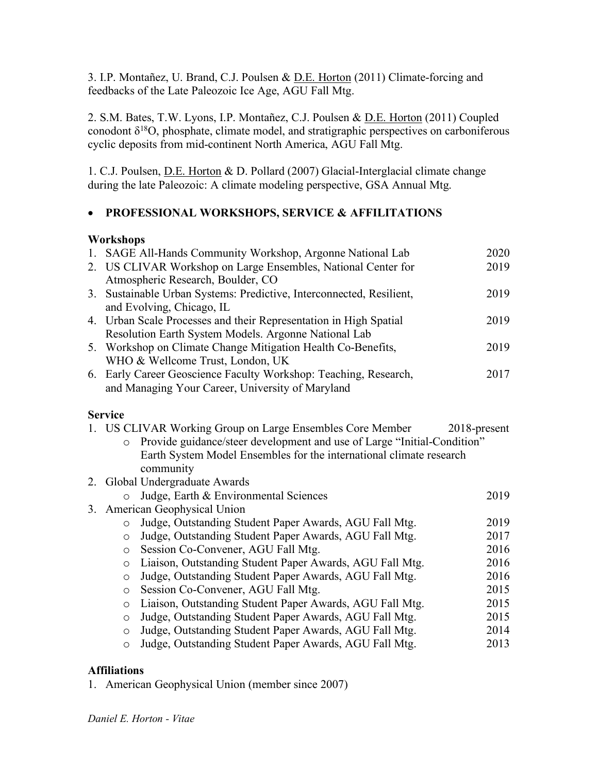3. I.P. Montañez, U. Brand, C.J. Poulsen & D.E. Horton (2011) Climate-forcing and feedbacks of the Late Paleozoic Ice Age, AGU Fall Mtg.

2. S.M. Bates, T.W. Lyons, I.P. Montañez, C.J. Poulsen & <u>D.E. Horton</u> (2011) Coupled conodont  $\delta^{18}O$ , phosphate, climate model, and stratigraphic perspectives on carboniferous cyclic deposits from mid-continent North America, AGU Fall Mtg.

1. C.J. Poulsen, D.E. Horton & D. Pollard (2007) Glacial-Interglacial climate change during the late Paleozoic: A climate modeling perspective, GSA Annual Mtg.

# • **PROFESSIONAL WORKSHOPS, SERVICE & AFFILITATIONS**

# **Workshops**

|    | 1. SAGE All-Hands Community Workshop, Argonne National Lab                         | 2020         |
|----|------------------------------------------------------------------------------------|--------------|
|    | 2. US CLIVAR Workshop on Large Ensembles, National Center for                      | 2019         |
|    | Atmospheric Research, Boulder, CO                                                  |              |
| 3. | Sustainable Urban Systems: Predictive, Interconnected, Resilient,                  | 2019         |
|    | and Evolving, Chicago, IL                                                          |              |
|    | 4. Urban Scale Processes and their Representation in High Spatial                  | 2019         |
|    | Resolution Earth System Models. Argonne National Lab                               |              |
|    | 5. Workshop on Climate Change Mitigation Health Co-Benefits,                       | 2019         |
|    | WHO & Wellcome Trust, London, UK                                                   |              |
|    | 6. Early Career Geoscience Faculty Workshop: Teaching, Research,                   | 2017         |
|    | and Managing Your Career, University of Maryland                                   |              |
|    |                                                                                    |              |
|    | <b>Service</b>                                                                     |              |
|    | 1. US CLIVAR Working Group on Large Ensembles Core Member                          | 2018-present |
|    | Provide guidance/steer development and use of Large "Initial-Condition"<br>$\circ$ |              |
|    | Earth System Model Ensembles for the international climate research                |              |
|    | community                                                                          |              |
|    | 2. Global Undergraduate Awards                                                     |              |
|    | Judge, Earth & Environmental Sciences<br>$\circ$                                   | 2019         |
|    | 3. American Geophysical Union                                                      |              |
|    | Judge, Outstanding Student Paper Awards, AGU Fall Mtg.<br>$\circ$                  | 2019         |
|    | Judge, Outstanding Student Paper Awards, AGU Fall Mtg.<br>$\circ$                  | 2017         |
|    | Session Co-Convener, AGU Fall Mtg.<br>$\circ$                                      | 2016         |
|    | Liaison, Outstanding Student Paper Awards, AGU Fall Mtg.<br>$\circ$                | 2016         |
|    | Judge, Outstanding Student Paper Awards, AGU Fall Mtg.<br>$\circ$                  | 2016         |
|    | Session Co-Convener, AGU Fall Mtg.<br>$\circ$                                      | 2015         |
|    | Liaison, Outstanding Student Paper Awards, AGU Fall Mtg.<br>$\circ$                | 2015         |
|    | Judge, Outstanding Student Paper Awards, AGU Fall Mtg.<br>$\circ$                  | 2015         |
|    | Judge, Outstanding Student Paper Awards, AGU Fall Mtg.<br>$\circ$                  | 2014         |

o Judge, Outstanding Student Paper Awards, AGU Fall Mtg. 2013

# **Affiliations**

1. American Geophysical Union (member since 2007)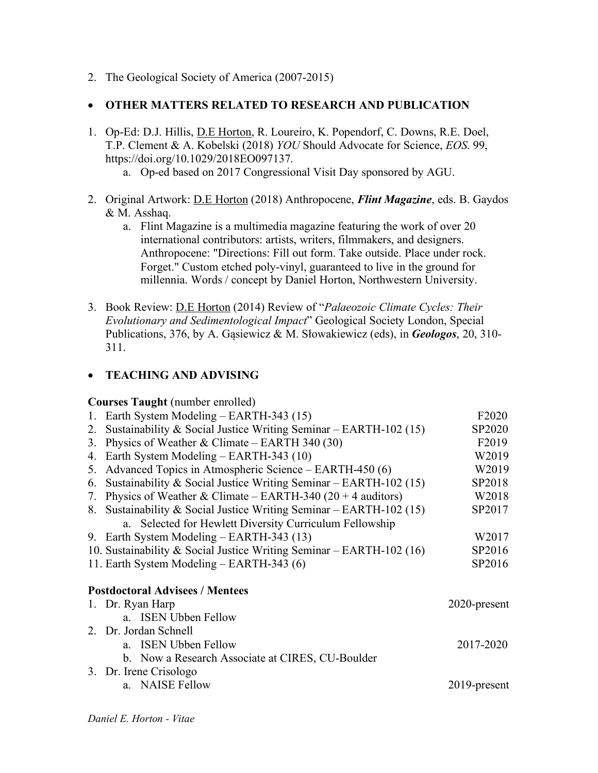2. The Geological Society of America (2007-2015)

### • **OTHER MATTERS RELATED TO RESEARCH AND PUBLICATION**

- 1. Op-Ed: D.J. Hillis, D.E Horton, R. Loureiro, K. Popendorf, C. Downs, R.E. Doel, T.P. Clement & A. Kobelski (2018) *YOU* Should Advocate for Science, *EOS*. 99, https://doi.org/10.1029/2018EO097137.
	- a. Op-ed based on 2017 Congressional Visit Day sponsored by AGU.
- 2. Original Artwork: D.E Horton (2018) Anthropocene, *Flint Magazine*, eds. B. Gaydos & M. Asshaq.
	- a. Flint Magazine is a multimedia magazine featuring the work of over 20 international contributors: artists, writers, filmmakers, and designers. Anthropocene: "Directions: Fill out form. Take outside. Place under rock. Forget." Custom etched poly-vinyl, guaranteed to live in the ground for millennia. Words / concept by Daniel Horton, Northwestern University.
- 3. Book Review: D.E Horton (2014) Review of "*Palaeozoic Climate Cycles: Their Evolutionary and Sedimentological Impact*" Geological Society London, Special Publications, 376, by A. Gąsiewicz & M. Słowakiewicz (eds), in *Geologos*, 20, 310- 311.

### • **TEACHING AND ADVISING**

#### **Courses Taught** (number enrolled)

|    | 1. Earth System Modeling – EARTH-343 (15)                            | F <sub>2</sub> 020 |
|----|----------------------------------------------------------------------|--------------------|
| 2. | Sustainability & Social Justice Writing Seminar $-$ EARTH-102 (15)   | SP2020             |
| 3. | Physics of Weather & Climate – EARTH 340 (30)                        | F <sub>2019</sub>  |
|    | 4. Earth System Modeling – EARTH-343 (10)                            | W2019              |
|    | 5. Advanced Topics in Atmospheric Science – EARTH-450 (6)            | W2019              |
| 6. | Sustainability & Social Justice Writing Seminar $-$ EARTH-102 (15)   | SP2018             |
| 7. | Physics of Weather & Climate – EARTH-340 (20 + 4 auditors)           | W2018              |
|    | 8. Sustainability & Social Justice Writing Seminar – EARTH-102 (15)  | SP2017             |
|    | a. Selected for Hewlett Diversity Curriculum Fellowship              |                    |
|    | 9. Earth System Modeling – EARTH-343 (13)                            | W2017              |
|    | 10. Sustainability & Social Justice Writing Seminar – EARTH-102 (16) | SP2016             |
|    | 11. Earth System Modeling – EARTH-343 (6)                            | SP2016             |
|    | <b>Postdoctoral Advisees / Mentees</b>                               |                    |
|    | 1. Dr. Ryan Harp                                                     | 2020-present       |
|    | a. ISEN Ubben Fellow                                                 |                    |
|    | 2. Dr. Jordan Schnell                                                |                    |
|    | a. ISEN Ubben Fellow                                                 | 2017-2020          |
|    | b. Now a Research Associate at CIRES, CU-Boulder                     |                    |
|    | 3. Dr. Irene Crisologo                                               |                    |
|    | a. NAISE Fellow                                                      | 2019-present       |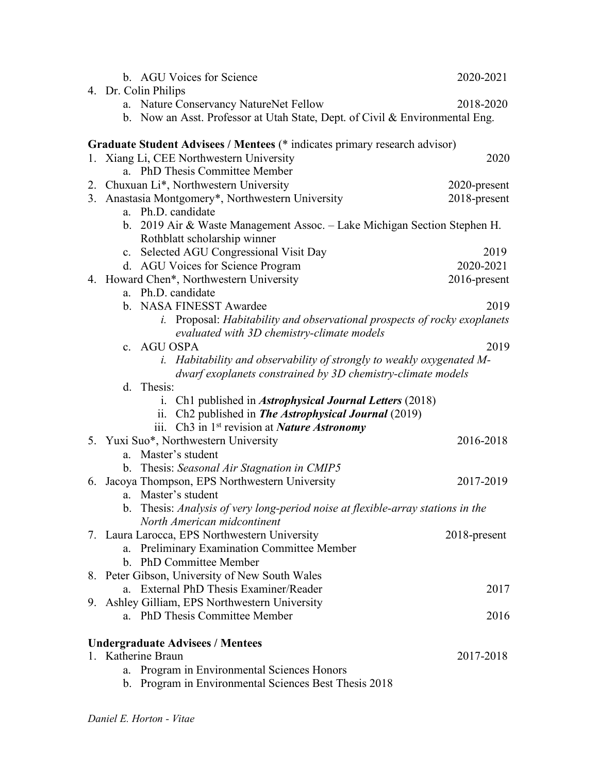| b. AGU Voices for Science                                                       | 2020-2021    |
|---------------------------------------------------------------------------------|--------------|
| 4. Dr. Colin Philips                                                            |              |
| a. Nature Conservancy NatureNet Fellow                                          | 2018-2020    |
| b. Now an Asst. Professor at Utah State, Dept. of Civil & Environmental Eng.    |              |
| Graduate Student Advisees / Mentees (* indicates primary research advisor)      |              |
| 1. Xiang Li, CEE Northwestern University                                        | 2020         |
| a. PhD Thesis Committee Member                                                  |              |
| 2. Chuxuan Li*, Northwestern University                                         | 2020-present |
| 3. Anastasia Montgomery*, Northwestern University                               | 2018-present |
| a. Ph.D. candidate                                                              |              |
| b. 2019 Air & Waste Management Assoc. - Lake Michigan Section Stephen H.        |              |
| Rothblatt scholarship winner                                                    |              |
| c. Selected AGU Congressional Visit Day                                         | 2019         |
| d. AGU Voices for Science Program                                               | 2020-2021    |
| 4. Howard Chen*, Northwestern University                                        | 2016-present |
| a. Ph.D. candidate                                                              |              |
| b. NASA FINESST Awardee                                                         | 2019         |
| i. Proposal: Habitability and observational prospects of rocky exoplanets       |              |
| evaluated with 3D chemistry-climate models<br>c. AGU OSPA                       | 2019         |
| <i>i.</i> Habitability and observability of strongly to weakly oxygenated M-    |              |
| dwarf exoplanets constrained by 3D chemistry-climate models                     |              |
| d. Thesis:                                                                      |              |
| i. Ch1 published in <i>Astrophysical Journal Letters</i> (2018)                 |              |
| ii. Ch2 published in The Astrophysical Journal (2019)                           |              |
| iii. Ch3 in 1 <sup>st</sup> revision at <i>Nature Astronomy</i>                 |              |
| 5. Yuxi Suo*, Northwestern University                                           | 2016-2018    |
| Master's student<br>a.                                                          |              |
| b. Thesis: Seasonal Air Stagnation in CMIP5                                     |              |
| 6. Jacoya Thompson, EPS Northwestern University                                 | 2017-2019    |
| Master's student<br>a.                                                          |              |
| b. Thesis: Analysis of very long-period noise at flexible-array stations in the |              |
| North American midcontinent                                                     |              |
| 7. Laura Larocca, EPS Northwestern University                                   | 2018-present |
| a. Preliminary Examination Committee Member                                     |              |
| b. PhD Committee Member                                                         |              |
| 8. Peter Gibson, University of New South Wales                                  |              |
| a. External PhD Thesis Examiner/Reader                                          | 2017         |
| 9. Ashley Gilliam, EPS Northwestern University                                  |              |
| a. PhD Thesis Committee Member                                                  | 2016         |
| <b>Undergraduate Advisees / Mentees</b>                                         |              |
| 1. Katherine Braun                                                              | 2017-2018    |
| Program in Environmental Sciences Honors<br>a.                                  |              |
| b. Program in Environmental Sciences Best Thesis 2018                           |              |
|                                                                                 |              |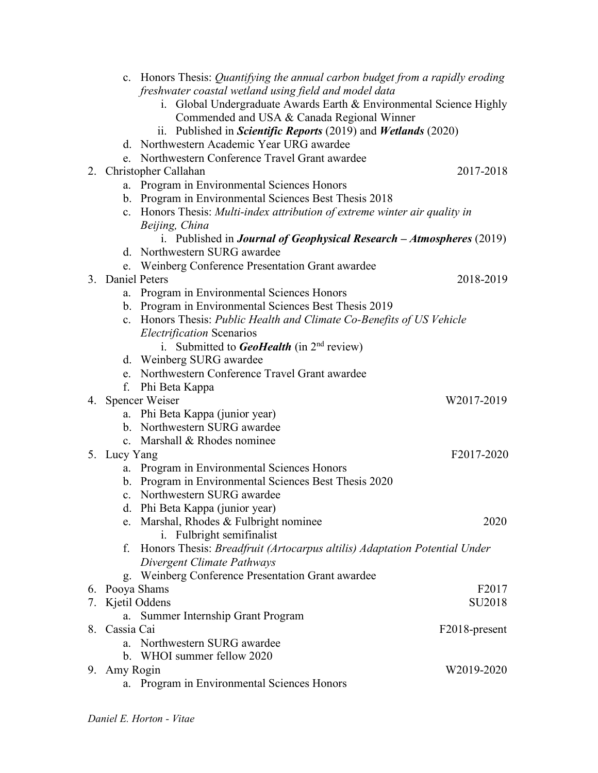| c. Honors Thesis: Quantifying the annual carbon budget from a rapidly eroding        |                   |
|--------------------------------------------------------------------------------------|-------------------|
| freshwater coastal wetland using field and model data                                |                   |
| Global Undergraduate Awards Earth & Environmental Science Highly<br>1.               |                   |
| Commended and USA & Canada Regional Winner                                           |                   |
| ii. Published in <i>Scientific Reports</i> (2019) and <i>Wetlands</i> (2020)         |                   |
| d. Northwestern Academic Year URG awardee                                            |                   |
| e. Northwestern Conference Travel Grant awardee                                      |                   |
| 2. Christopher Callahan                                                              | 2017-2018         |
| a. Program in Environmental Sciences Honors                                          |                   |
| b. Program in Environmental Sciences Best Thesis 2018                                |                   |
| c. Honors Thesis: Multi-index attribution of extreme winter air quality in           |                   |
| Beijing, China                                                                       |                   |
| i. Published in <b>Journal of Geophysical Research</b> $-A$ <b>tmospheres</b> (2019) |                   |
| d. Northwestern SURG awardee                                                         |                   |
| e. Weinberg Conference Presentation Grant awardee                                    |                   |
| 3. Daniel Peters                                                                     | 2018-2019         |
| Program in Environmental Sciences Honors<br>a.                                       |                   |
| b. Program in Environmental Sciences Best Thesis 2019                                |                   |
| c. Honors Thesis: Public Health and Climate Co-Benefits of US Vehicle                |                   |
| <b>Electrification Scenarios</b>                                                     |                   |
| Submitted to <b>GeoHealth</b> (in $2nd$ review)<br>$\mathbf{i}$ .                    |                   |
| d. Weinberg SURG awardee                                                             |                   |
| e. Northwestern Conference Travel Grant awardee                                      |                   |
| Phi Beta Kappa<br>f.                                                                 |                   |
| 4. Spencer Weiser                                                                    | W2017-2019        |
| a. Phi Beta Kappa (junior year)                                                      |                   |
| b. Northwestern SURG awardee                                                         |                   |
| c. Marshall & Rhodes nominee                                                         |                   |
| 5. Lucy Yang                                                                         | F2017-2020        |
| Program in Environmental Sciences Honors<br>a.                                       |                   |
| b. Program in Environmental Sciences Best Thesis 2020                                |                   |
| c. Northwestern SURG awardee                                                         |                   |
| d. Phi Beta Kappa (junior year)                                                      |                   |
| Marshal, Rhodes & Fulbright nominee<br>e.                                            | 2020              |
| i. Fulbright semifinalist                                                            |                   |
| Honors Thesis: Breadfruit (Artocarpus altilis) Adaptation Potential Under<br>f.      |                   |
| Divergent Climate Pathways                                                           |                   |
| Weinberg Conference Presentation Grant awardee<br>g.                                 |                   |
| 6. Pooya Shams                                                                       | F <sub>2017</sub> |
| 7. Kjetil Oddens                                                                     | SU2018            |
| Summer Internship Grant Program<br>a.                                                |                   |
| 8. Cassia Cai                                                                        | F2018-present     |
| a. Northwestern SURG awardee                                                         |                   |
| b. WHOI summer fellow 2020                                                           |                   |
| 9. Amy Rogin                                                                         | W2019-2020        |
| Program in Environmental Sciences Honors<br>a.                                       |                   |
|                                                                                      |                   |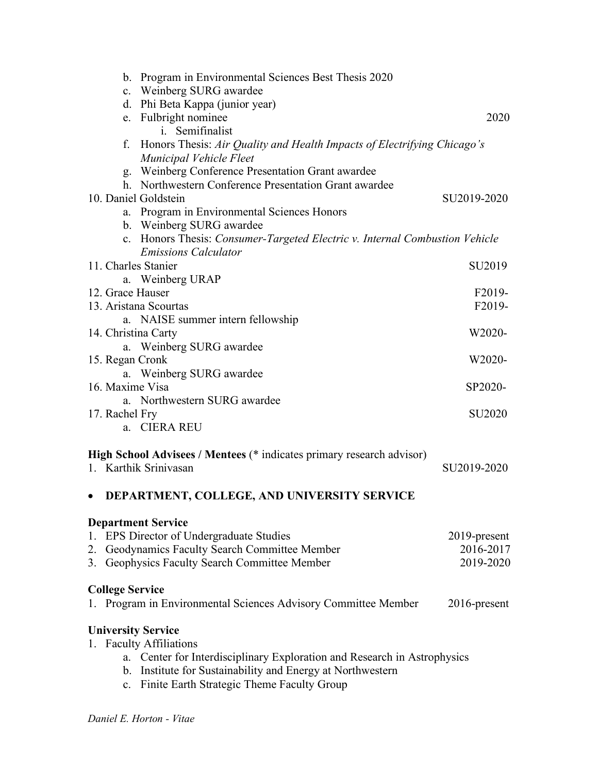|           |                | b. Program in Environmental Sciences Best Thesis 2020                                                      |                    |
|-----------|----------------|------------------------------------------------------------------------------------------------------------|--------------------|
|           |                | c. Weinberg SURG awardee                                                                                   |                    |
|           |                | d. Phi Beta Kappa (junior year)<br>e. Fulbright nominee                                                    | 2020               |
|           |                | i. Semifinalist                                                                                            |                    |
|           | f.             | Honors Thesis: Air Quality and Health Impacts of Electrifying Chicago's<br>Municipal Vehicle Fleet         |                    |
|           |                | g. Weinberg Conference Presentation Grant awardee                                                          |                    |
|           |                | h. Northwestern Conference Presentation Grant awardee                                                      |                    |
|           |                | 10. Daniel Goldstein                                                                                       | SU2019-2020        |
|           |                | a. Program in Environmental Sciences Honors                                                                |                    |
|           |                | b. Weinberg SURG awardee                                                                                   |                    |
|           |                | c. Honors Thesis: Consumer-Targeted Electric v. Internal Combustion Vehicle<br><b>Emissions Calculator</b> |                    |
|           |                | 11. Charles Stanier                                                                                        | SU <sub>2019</sub> |
|           |                | a. Weinberg URAP                                                                                           |                    |
|           |                | 12. Grace Hauser                                                                                           | F2019-             |
|           |                | 13. Aristana Scourtas                                                                                      | F2019-             |
|           |                | a. NAISE summer intern fellowship                                                                          |                    |
|           |                | 14. Christina Carty                                                                                        | W2020-             |
|           |                | a. Weinberg SURG awardee                                                                                   |                    |
|           |                | 15. Regan Cronk                                                                                            | W2020-             |
|           |                | a. Weinberg SURG awardee                                                                                   |                    |
|           |                | 16. Maxime Visa                                                                                            | SP2020-            |
|           |                | a. Northwestern SURG awardee                                                                               |                    |
|           | 17. Rachel Fry |                                                                                                            | <b>SU2020</b>      |
|           |                | a. CIERA REU                                                                                               |                    |
|           |                | High School Advisees / Mentees (* indicates primary research advisor)                                      |                    |
|           |                | 1. Karthik Sriniyasan                                                                                      | SU2019-2020        |
| $\bullet$ |                | DEPARTMENT, COLLEGE, AND UNIVERSITY SERVICE                                                                |                    |
|           |                | <b>Department Service</b>                                                                                  |                    |
|           |                | 1. EPS Director of Undergraduate Studies                                                                   | 2019-present       |
|           |                | 2. Geodynamics Faculty Search Committee Member                                                             | 2016-2017          |
|           |                | 3. Geophysics Faculty Search Committee Member                                                              | 2019-2020          |
|           |                |                                                                                                            |                    |
|           |                | <b>College Service</b>                                                                                     |                    |
|           |                | 1. Program in Environmental Sciences Advisory Committee Member                                             | 2016-present       |
|           |                | <b>University Service</b>                                                                                  |                    |
|           |                | 1. Faculty Affiliations                                                                                    |                    |
|           |                | a. Center for Interdisciplinary Exploration and Research in Astrophysics                                   |                    |
|           |                | b. Institute for Sustainability and Energy at Northwestern                                                 |                    |
|           |                | c. Finite Earth Strategic Theme Faculty Group                                                              |                    |